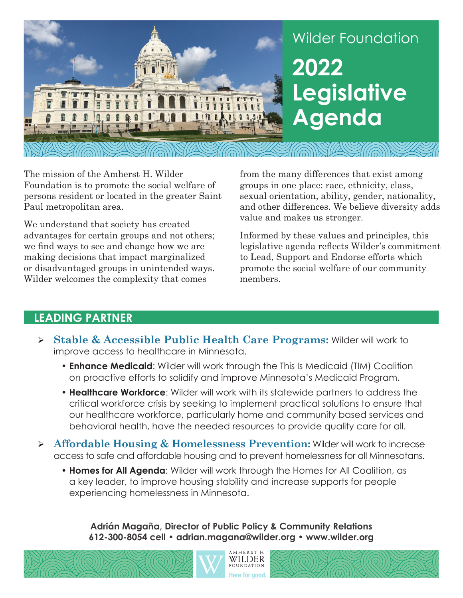

The mission of the Amherst H. Wilder Foundation is to promote the social welfare of persons resident or located in the greater Saint Paul metropolitan area.

We understand that society has created advantages for certain groups and not others; we find ways to see and change how we are making decisions that impact marginalized or disadvantaged groups in unintended ways. Wilder welcomes the complexity that comes

from the many differences that exist among groups in one place: race, ethnicity, class, sexual orientation, ability, gender, nationality, and other differences. We believe diversity adds value and makes us stronger.

Informed by these values and principles, this legislative agenda reflects Wilder's commitment to Lead, Support and Endorse efforts which promote the social welfare of our community members.

## **LEADING PARTNER**

- **Stable & Accessible Public Health Care Programs:** Wilder will work to improve access to healthcare in Minnesota.
	- **Enhance Medicaid**: Wilder will work through the This Is Medicaid (TIM) Coalition on proactive efforts to solidify and improve Minnesota's Medicaid Program.
	- **Healthcare Workforce**: Wilder will work with its statewide partners to address the critical workforce crisis by seeking to implement practical solutions to ensure that our healthcare workforce, particularly home and community based services and behavioral health, have the needed resources to provide quality care for all.
- **Affordable Housing & Homelessness Prevention:** Wilder will work to increase access to safe and affordable housing and to prevent homelessness for all Minnesotans.
	- **Homes for All Agenda**: Wilder will work through the Homes for All Coalition, as a key leader, to improve housing stability and increase supports for people experiencing homelessness in Minnesota.

**Adrián Magaña, Director of Public Policy & Community Relations 612-300-8054 cell • adrian.magana@wilder.org • www.wilder.org**

WILDER

Here for good.